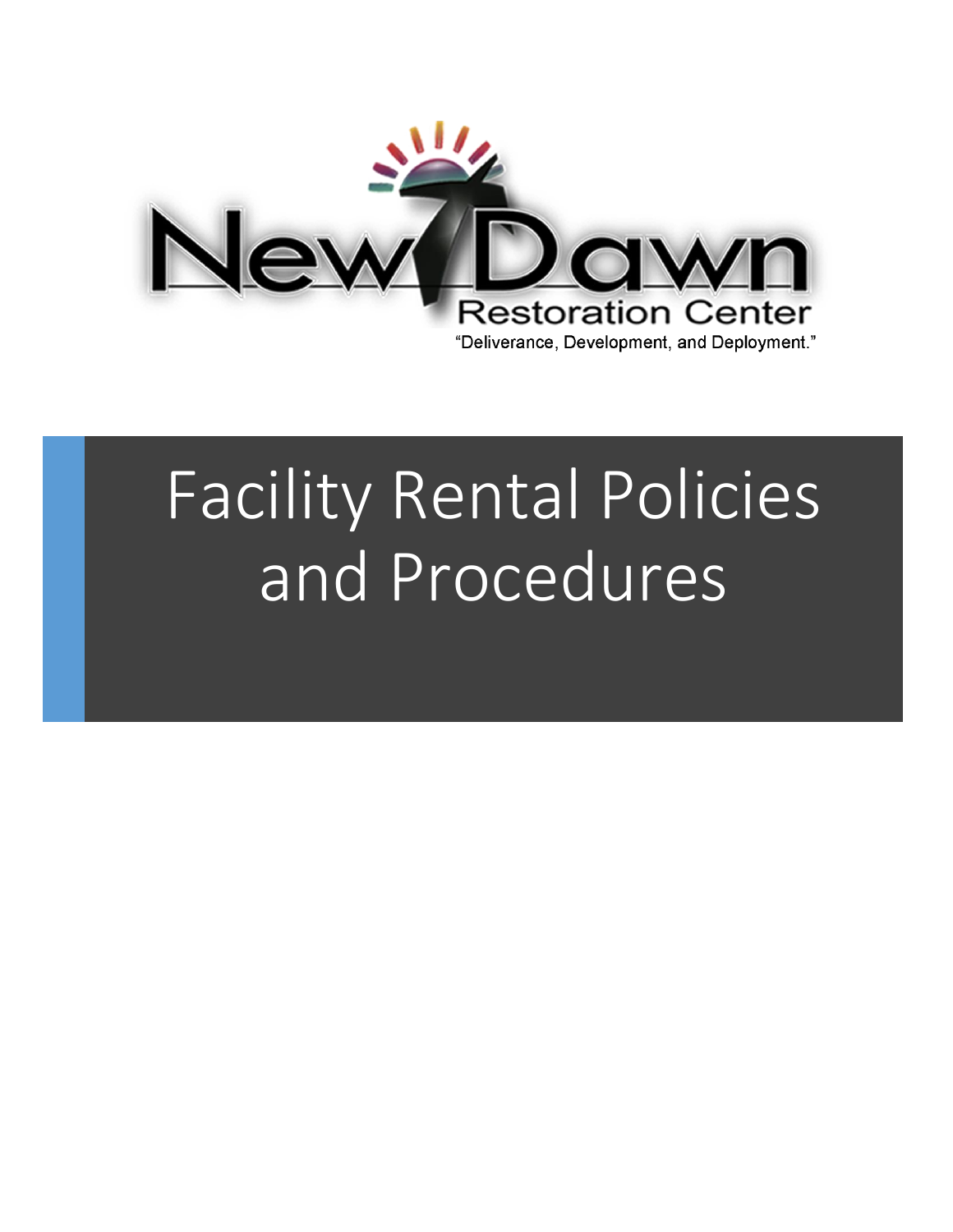

# Facility Rental Policies and Procedures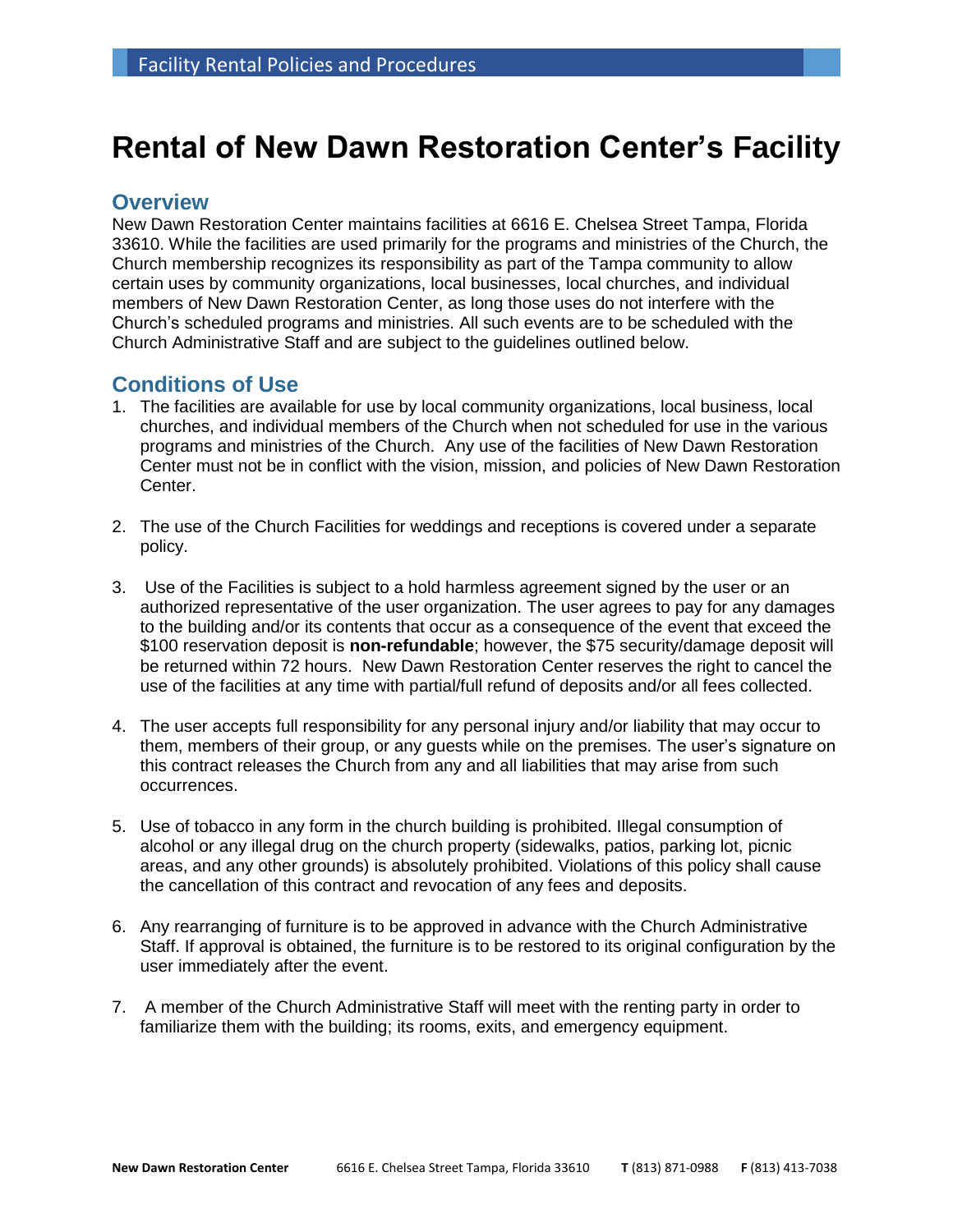# **Rental of New Dawn Restoration Center's Facility**

## **Overview**

New Dawn Restoration Center maintains facilities at 6616 E. Chelsea Street Tampa, Florida 33610. While the facilities are used primarily for the programs and ministries of the Church, the Church membership recognizes its responsibility as part of the Tampa community to allow certain uses by community organizations, local businesses, local churches, and individual members of New Dawn Restoration Center, as long those uses do not interfere with the Church's scheduled programs and ministries. All such events are to be scheduled with the Church Administrative Staff and are subject to the guidelines outlined below.

# **Conditions of Use**

- 1. The facilities are available for use by local community organizations, local business, local churches, and individual members of the Church when not scheduled for use in the various programs and ministries of the Church. Any use of the facilities of New Dawn Restoration Center must not be in conflict with the vision, mission, and policies of New Dawn Restoration Center.
- 2. The use of the Church Facilities for weddings and receptions is covered under a separate policy.
- 3. Use of the Facilities is subject to a hold harmless agreement signed by the user or an authorized representative of the user organization. The user agrees to pay for any damages to the building and/or its contents that occur as a consequence of the event that exceed the \$100 reservation deposit is **non-refundable**; however, the \$75 security/damage deposit will be returned within 72 hours. New Dawn Restoration Center reserves the right to cancel the use of the facilities at any time with partial/full refund of deposits and/or all fees collected.
- 4. The user accepts full responsibility for any personal injury and/or liability that may occur to them, members of their group, or any guests while on the premises. The user's signature on this contract releases the Church from any and all liabilities that may arise from such occurrences.
- 5. Use of tobacco in any form in the church building is prohibited. Illegal consumption of alcohol or any illegal drug on the church property (sidewalks, patios, parking lot, picnic areas, and any other grounds) is absolutely prohibited. Violations of this policy shall cause the cancellation of this contract and revocation of any fees and deposits.
- 6. Any rearranging of furniture is to be approved in advance with the Church Administrative Staff. If approval is obtained, the furniture is to be restored to its original configuration by the user immediately after the event.
- 7. A member of the Church Administrative Staff will meet with the renting party in order to familiarize them with the building; its rooms, exits, and emergency equipment.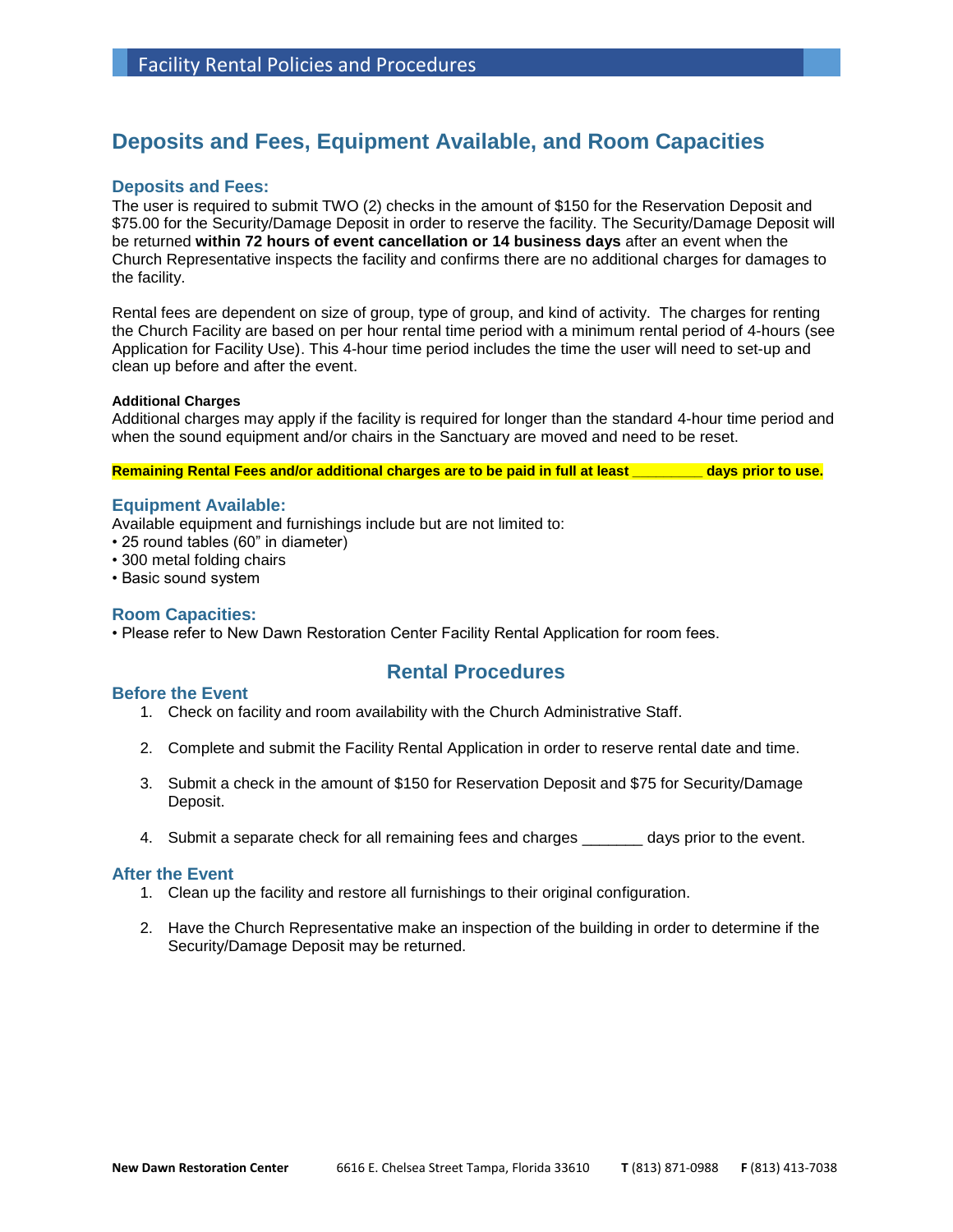# **Deposits and Fees, Equipment Available, and Room Capacities**

#### **Deposits and Fees:**

The user is required to submit TWO (2) checks in the amount of \$150 for the Reservation Deposit and \$75.00 for the Security/Damage Deposit in order to reserve the facility. The Security/Damage Deposit will be returned **within 72 hours of event cancellation or 14 business days** after an event when the Church Representative inspects the facility and confirms there are no additional charges for damages to the facility.

Rental fees are dependent on size of group, type of group, and kind of activity. The charges for renting the Church Facility are based on per hour rental time period with a minimum rental period of 4-hours (see Application for Facility Use). This 4-hour time period includes the time the user will need to set-up and clean up before and after the event.

#### **Additional Charges**

Additional charges may apply if the facility is required for longer than the standard 4-hour time period and when the sound equipment and/or chairs in the Sanctuary are moved and need to be reset.

**Remaining Rental Fees and/or additional charges are to be paid in full at least \_\_\_\_\_\_\_\_\_ days prior to use.**

#### **Equipment Available:**

Available equipment and furnishings include but are not limited to:

- 25 round tables (60" in diameter)
- 300 metal folding chairs
- Basic sound system

#### **Room Capacities:**

• Please refer to New Dawn Restoration Center Facility Rental Application for room fees.

#### **Before the Event**

### **Rental Procedures**

- 1. Check on facility and room availability with the Church Administrative Staff.
- 2. Complete and submit the Facility Rental Application in order to reserve rental date and time.
- 3. Submit a check in the amount of \$150 for Reservation Deposit and \$75 for Security/Damage Deposit.
- 4. Submit a separate check for all remaining fees and charges \_\_\_\_\_\_\_ days prior to the event.

#### **After the Event**

- 1. Clean up the facility and restore all furnishings to their original configuration.
- 2. Have the Church Representative make an inspection of the building in order to determine if the Security/Damage Deposit may be returned.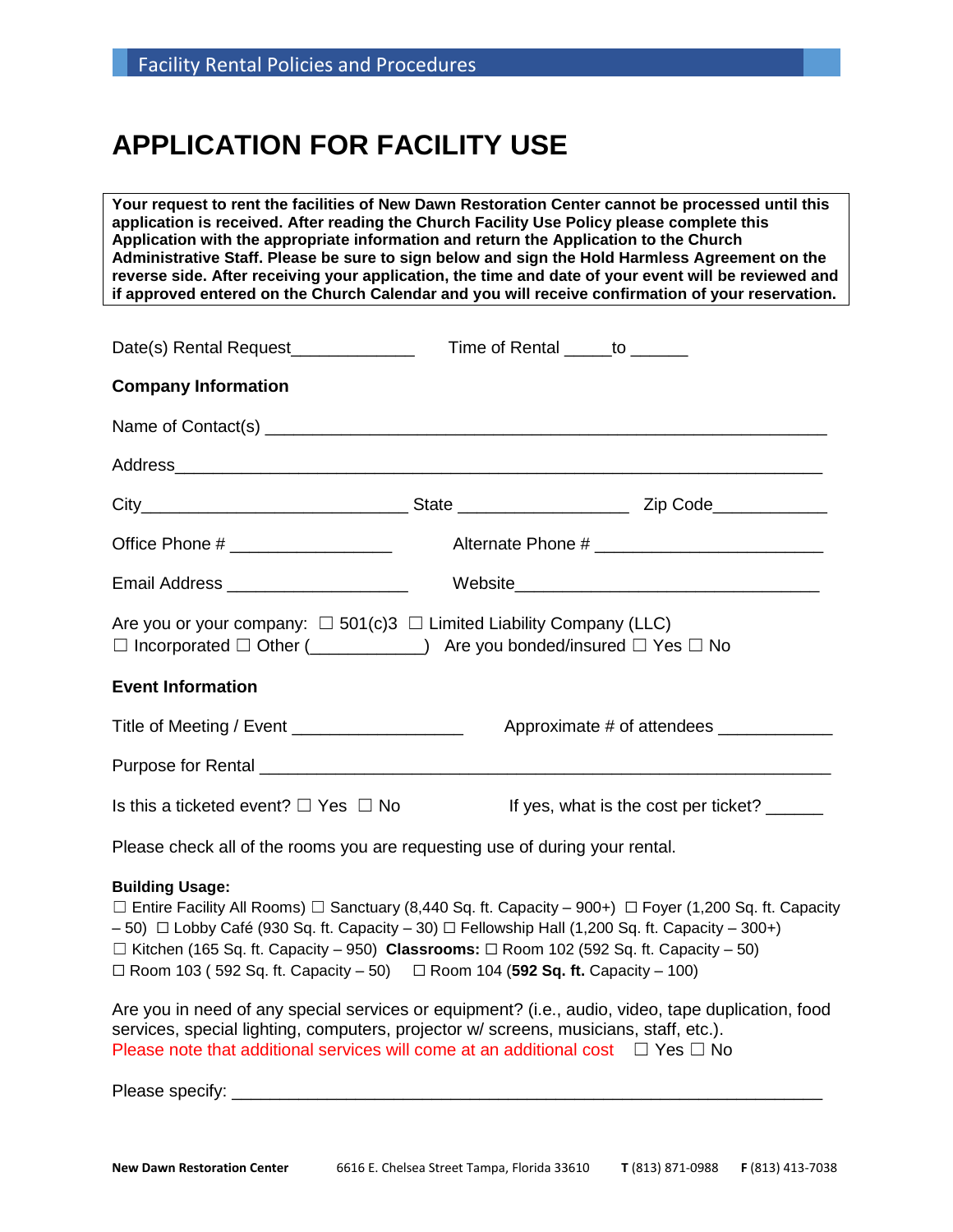# **APPLICATION FOR FACILITY USE**

**Your request to rent the facilities of New Dawn Restoration Center cannot be processed until this application is received. After reading the Church Facility Use Policy please complete this Application with the appropriate information and return the Application to the Church Administrative Staff. Please be sure to sign below and sign the Hold Harmless Agreement on the reverse side. After receiving your application, the time and date of your event will be reviewed and if approved entered on the Church Calendar and you will receive confirmation of your reservation.**

| Date(s) Rental Request_______________                                                                                                                                          | Time of Rental ______to _______              |  |  |  |  |  |
|--------------------------------------------------------------------------------------------------------------------------------------------------------------------------------|----------------------------------------------|--|--|--|--|--|
| <b>Company Information</b>                                                                                                                                                     |                                              |  |  |  |  |  |
|                                                                                                                                                                                |                                              |  |  |  |  |  |
|                                                                                                                                                                                |                                              |  |  |  |  |  |
|                                                                                                                                                                                |                                              |  |  |  |  |  |
|                                                                                                                                                                                |                                              |  |  |  |  |  |
| Email Address ______________________                                                                                                                                           |                                              |  |  |  |  |  |
| Are you or your company: $\Box$ 501(c)3 $\Box$ Limited Liability Company (LLC)<br>$\Box$ Incorporated $\Box$ Other (_____________) Are you bonded/insured $\Box$ Yes $\Box$ No |                                              |  |  |  |  |  |
| <b>Event Information</b>                                                                                                                                                       |                                              |  |  |  |  |  |
| Title of Meeting / Event ______________________                                                                                                                                |                                              |  |  |  |  |  |
|                                                                                                                                                                                |                                              |  |  |  |  |  |
| Is this a ticketed event? $\Box$ Yes $\Box$ No                                                                                                                                 | If yes, what is the cost per ticket? _______ |  |  |  |  |  |

Please check all of the rooms you are requesting use of during your rental.

#### **Building Usage:**

☐ Entire Facility All Rooms) ☐ Sanctuary (8,440 Sq. ft. Capacity – 900+) ☐ Foyer (1,200 Sq. ft. Capacity  $-50$ )  $\Box$  Lobby Café (930 Sq. ft. Capacity – 30)  $\Box$  Fellowship Hall (1,200 Sq. ft. Capacity – 300+) ☐ Kitchen (165 Sq. ft. Capacity – 950) **Classrooms:** ☐ Room 102 (592 Sq. ft. Capacity – 50)  $\Box$  Room 103 ( 592 Sq. ft. Capacity – 50)  $\Box$  Room 104 (**592 Sq. ft.** Capacity – 100)

Are you in need of any special services or equipment? (i.e., audio, video, tape duplication, food services, special lighting, computers, projector w/ screens, musicians, staff, etc.). Please note that additional services will come at an additional cost  $\Box$  Yes  $\Box$  No

Please specify: **Example 20** and  $\alpha$  is the specify: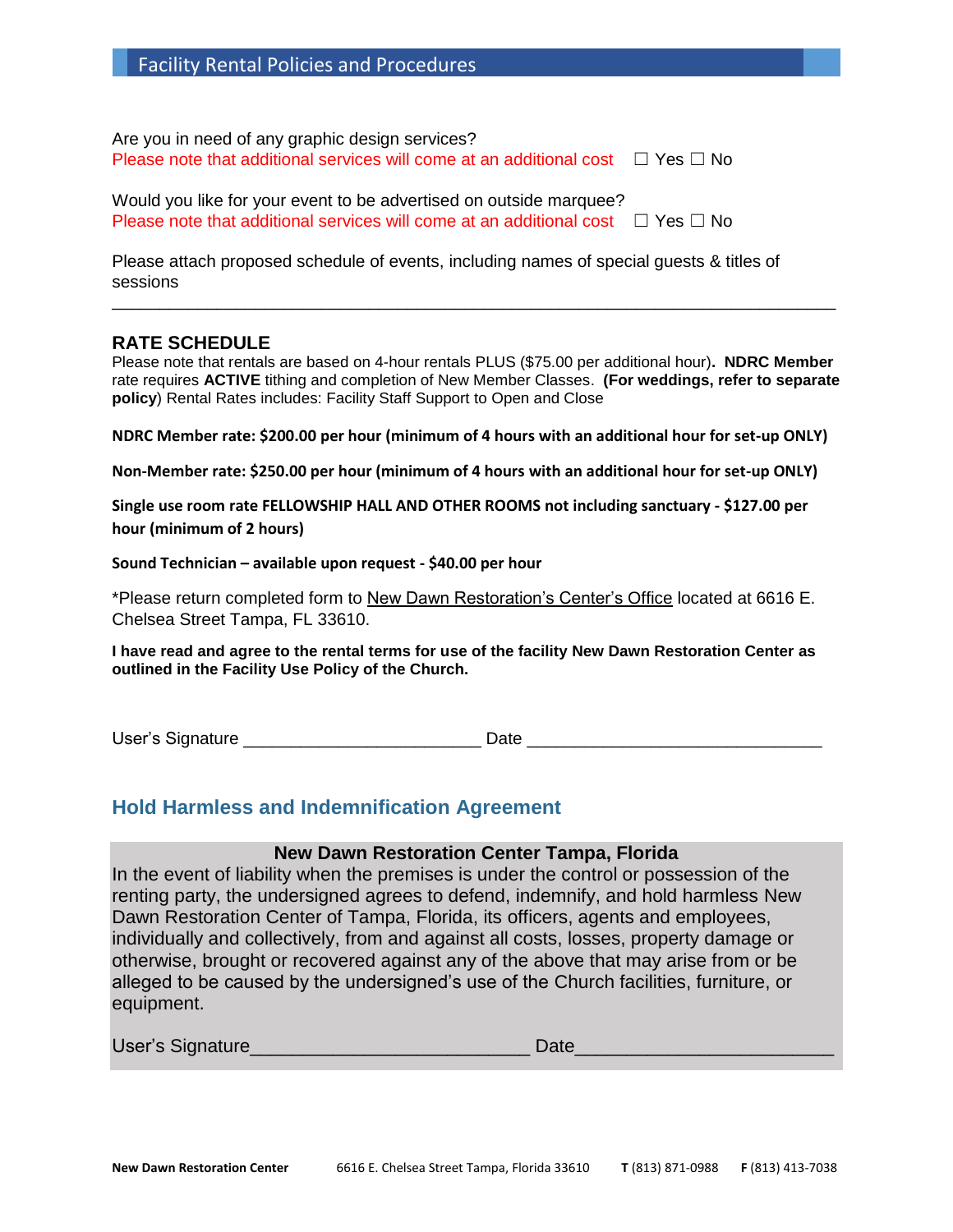| <b>Facility Rental Policies and Procedures</b> |  |  |
|------------------------------------------------|--|--|
|------------------------------------------------|--|--|

Are you in need of any graphic design services? Please note that additional services will come at an additional cost  $\Box$  Yes  $\Box$  No

Would you like for your event to be advertised on outside marquee? Please note that additional services will come at an additional cost  $\Box$  Yes  $\Box$  No

Please attach proposed schedule of events, including names of special guests & titles of sessions

#### **RATE SCHEDULE**

Please note that rentals are based on 4-hour rentals PLUS (\$75.00 per additional hour)**. NDRC Member** rate requires **ACTIVE** tithing and completion of New Member Classes. **(For weddings, refer to separate policy**) Rental Rates includes: Facility Staff Support to Open and Close

\_\_\_\_\_\_\_\_\_\_\_\_\_\_\_\_\_\_\_\_\_\_\_\_\_\_\_\_\_\_\_\_\_\_\_\_\_\_\_\_\_\_\_\_\_\_\_\_\_\_\_\_\_\_\_\_\_\_\_\_\_\_\_\_\_\_\_\_\_\_\_\_\_\_\_\_

**NDRC Member rate: \$200.00 per hour (minimum of 4 hours with an additional hour for set-up ONLY)**

**Non-Member rate: \$250.00 per hour (minimum of 4 hours with an additional hour for set-up ONLY)**

**Single use room rate FELLOWSHIP HALL AND OTHER ROOMS not including sanctuary - \$127.00 per hour (minimum of 2 hours)**

**Sound Technician – available upon request - \$40.00 per hour**

\*Please return completed form to New Dawn Restoration's Center's Office located at 6616 E. Chelsea Street Tampa, FL 33610.

**I have read and agree to the rental terms for use of the facility New Dawn Restoration Center as outlined in the Facility Use Policy of the Church.**

User's Signature **Latter and Date Latter Security** Date **Date** 

## **Hold Harmless and Indemnification Agreement**

#### **New Dawn Restoration Center Tampa, Florida**

In the event of liability when the premises is under the control or possession of the renting party, the undersigned agrees to defend, indemnify, and hold harmless New Dawn Restoration Center of Tampa, Florida, its officers, agents and employees, individually and collectively, from and against all costs, losses, property damage or otherwise, brought or recovered against any of the above that may arise from or be alleged to be caused by the undersigned's use of the Church facilities, furniture, or equipment.

| User's Signature | Date |
|------------------|------|
|                  |      |